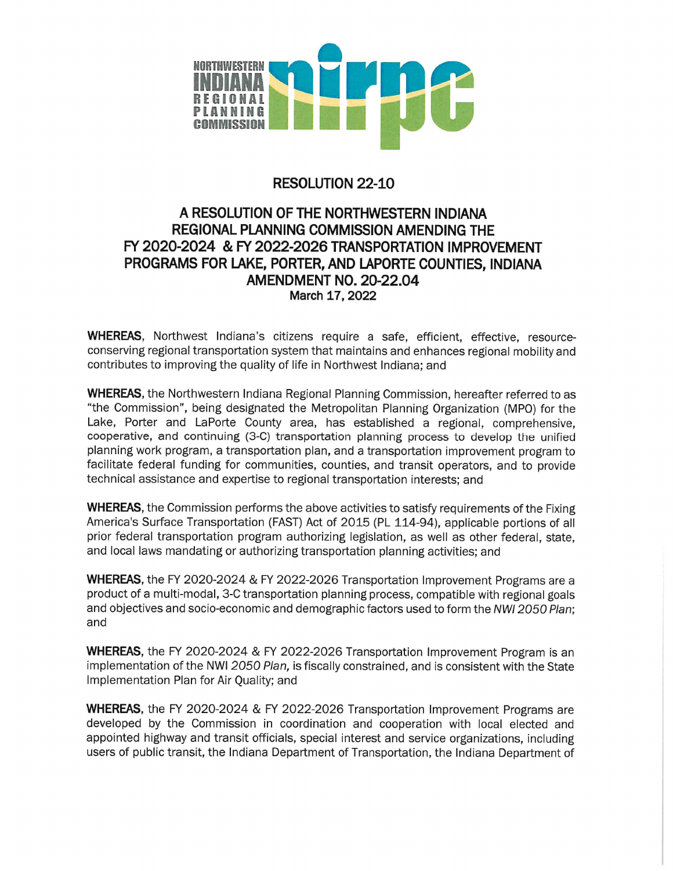

## **RESOLUTION 22-10**

## A RESOLUTION OF THE NORTHWESTERN INDIANA **REGIONAL PLANNING COMMISSION AMENDING THE** FY 2020-2024 & FY 2022-2026 TRANSPORTATION IMPROVEMENT PROGRAMS FOR LAKE, PORTER, AND LAPORTE COUNTIES, INDIANA **AMENDMENT NO. 20-22.04** March 17, 2022

**WHEREAS**, Northwest Indiana's citizens require a safe, efficient, effective, resourceconserving regional transportation system that maintains and enhances regional mobility and contributes to improving the quality of life in Northwest Indiana; and

WHEREAS, the Northwestern Indiana Regional Planning Commission, hereafter referred to as "the Commission", being designated the Metropolitan Planning Organization (MPO) for the Lake, Porter and LaPorte County area, has established a regional, comprehensive, cooperative, and continuing (3-C) transportation planning process to develop the unified planning work program, a transportation plan, and a transportation improvement program to facilitate federal funding for communities, counties, and transit operators, and to provide technical assistance and expertise to regional transportation interests; and

**WHEREAS**, the Commission performs the above activities to satisfy requirements of the Fixing America's Surface Transportation (FAST) Act of 2015 (PL 114-94), applicable portions of all prior federal transportation program authorizing legislation, as well as other federal, state, and local laws mandating or authorizing transportation planning activities; and

WHEREAS, the FY 2020-2024 & FY 2022-2026 Transportation Improvement Programs are a product of a multi-modal, 3-C transportation planning process, compatible with regional goals and objectives and socio-economic and demographic factors used to form the NWI 2050 Plan: and

WHEREAS, the FY 2020-2024 & FY 2022-2026 Transportation Improvement Program is an implementation of the NWI 2050 Plan, is fiscally constrained, and is consistent with the State Implementation Plan for Air Quality; and

WHEREAS, the FY 2020-2024 & FY 2022-2026 Transportation Improvement Programs are developed by the Commission in coordination and cooperation with local elected and appointed highway and transit officials, special interest and service organizations, including users of public transit, the Indiana Department of Transportation, the Indiana Department of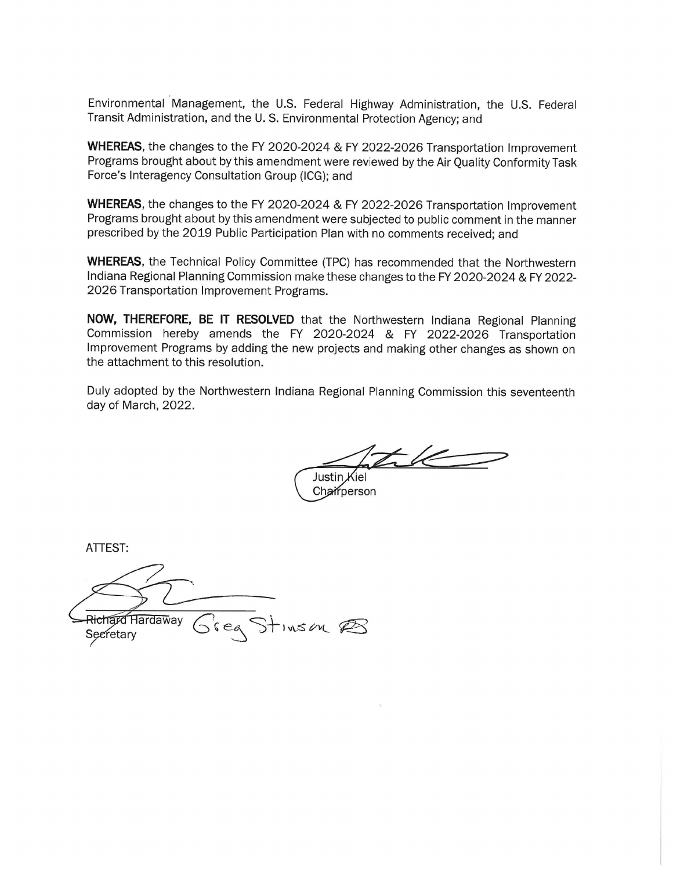Environmental Management, the U.S. Federal Highway Administration, the U.S. Federal Transit Administration, and the U.S. Environmental Protection Agency; and

WHEREAS, the changes to the FY 2020-2024 & FY 2022-2026 Transportation Improvement Programs brought about by this amendment were reviewed by the Air Quality Conformity Task Force's Interagency Consultation Group (ICG); and

WHEREAS, the changes to the FY 2020-2024 & FY 2022-2026 Transportation Improvement Programs brought about by this amendment were subjected to public comment in the manner prescribed by the 2019 Public Participation Plan with no comments received; and

**WHEREAS**, the Technical Policy Committee (TPC) has recommended that the Northwestern Indiana Regional Planning Commission make these changes to the FY 2020-2024 & FY 2022-2026 Transportation Improvement Programs.

NOW, THEREFORE, BE IT RESOLVED that the Northwestern Indiana Regional Planning Commission hereby amends the FY 2020-2024 & FY 2022-2026 Transportation Improvement Programs by adding the new projects and making other changes as shown on the attachment to this resolution.

Duly adopted by the Northwestern Indiana Regional Planning Commission this seventeenth day of March, 2022.

tile

Justin Kiel Chairperson

ATTEST:

Richard Hardaway Sieg Stinson PS Secretary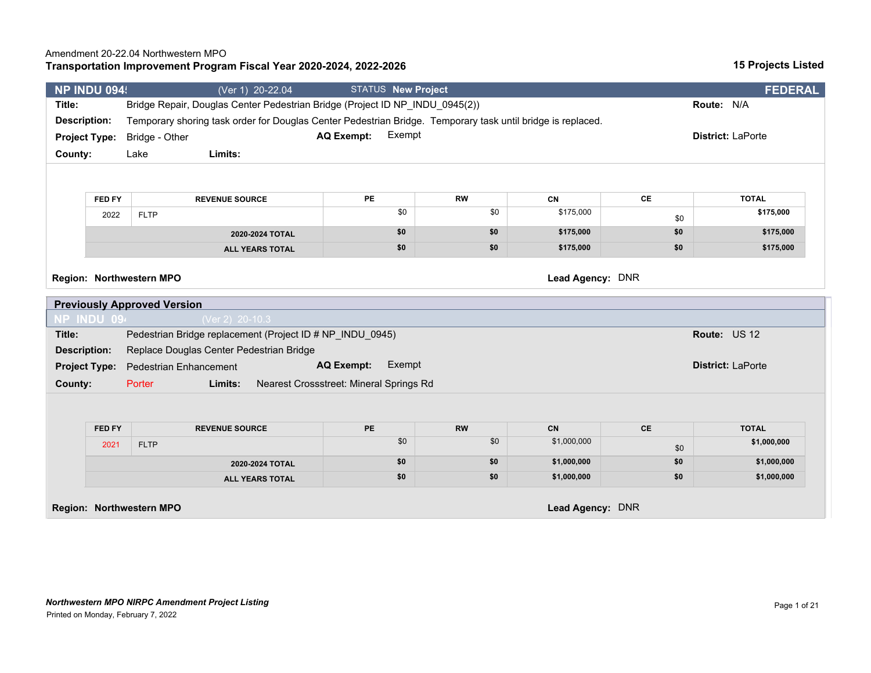### **Transportation Improvement Program Fiscal Year 2020-2024, 2022-2026**

|                                 | <b>NP INDU 094!</b> |                                    | (Ver 1) 20-22.04                                                                                            | STATUS New Project                      |                  |                 |           | <b>FEDERAL</b>           |
|---------------------------------|---------------------|------------------------------------|-------------------------------------------------------------------------------------------------------------|-----------------------------------------|------------------|-----------------|-----------|--------------------------|
| Title:                          |                     |                                    | Bridge Repair, Douglas Center Pedestrian Bridge (Project ID NP_INDU_0945(2))                                |                                         |                  |                 |           | Route: N/A               |
| <b>Description:</b>             |                     |                                    | Temporary shoring task order for Douglas Center Pedestrian Bridge. Temporary task until bridge is replaced. |                                         |                  |                 |           |                          |
| <b>Project Type:</b>            |                     | Bridge - Other                     |                                                                                                             | Exempt<br><b>AQ Exempt:</b>             |                  |                 |           | District: LaPorte        |
| County:                         |                     | Lake                               | Limits:                                                                                                     |                                         |                  |                 |           |                          |
|                                 |                     |                                    |                                                                                                             |                                         |                  |                 |           |                          |
|                                 |                     |                                    |                                                                                                             |                                         |                  |                 |           |                          |
|                                 | FED FY              |                                    | <b>REVENUE SOURCE</b>                                                                                       | PE<br>\$0                               | <b>RW</b><br>\$0 | CN<br>\$175,000 | CE        | <b>TOTAL</b>             |
|                                 | 2022                | <b>FLTP</b>                        |                                                                                                             |                                         |                  |                 | \$0       | \$175,000                |
|                                 |                     |                                    | 2020-2024 TOTAL                                                                                             | \$0                                     | \$0              | \$175,000       | \$0       | \$175,000                |
|                                 |                     |                                    | <b>ALL YEARS TOTAL</b>                                                                                      | \$0                                     | \$0              | \$175,000       | \$0       | \$175,000                |
| NP INDU 094                     |                     | <b>Previously Approved Version</b> | (Ver 2) 20-10.3                                                                                             |                                         |                  |                 |           |                          |
| Title:                          |                     |                                    | Pedestrian Bridge replacement (Project ID # NP_INDU_0945)                                                   |                                         |                  |                 |           | Route: US 12             |
| Description:                    |                     |                                    | Replace Douglas Center Pedestrian Bridge                                                                    |                                         |                  |                 |           |                          |
|                                 |                     |                                    |                                                                                                             |                                         |                  |                 |           |                          |
|                                 |                     |                                    |                                                                                                             |                                         |                  |                 |           |                          |
|                                 |                     | <b>Pedestrian Enhancement</b>      |                                                                                                             | Exempt<br><b>AQ Exempt:</b>             |                  |                 |           | <b>District: LaPorte</b> |
| <b>Project Type:</b><br>County: |                     | Porter                             | Limits:                                                                                                     | Nearest Crossstreet: Mineral Springs Rd |                  |                 |           |                          |
|                                 |                     |                                    |                                                                                                             |                                         |                  |                 |           |                          |
|                                 | FED FY              |                                    | <b>REVENUE SOURCE</b>                                                                                       | PE                                      | <b>RW</b>        | <b>CN</b>       | <b>CE</b> | <b>TOTAL</b>             |
|                                 | 2021                | <b>FLTP</b>                        |                                                                                                             | \$0                                     | \$0              | \$1,000,000     | \$0       | \$1,000,000              |
|                                 |                     |                                    | 2020-2024 TOTAL                                                                                             | \$0                                     | \$0              | \$1,000,000     | \$0       | \$1,000,000              |

**Region: Northwestern MPO Lead Agency:** DNR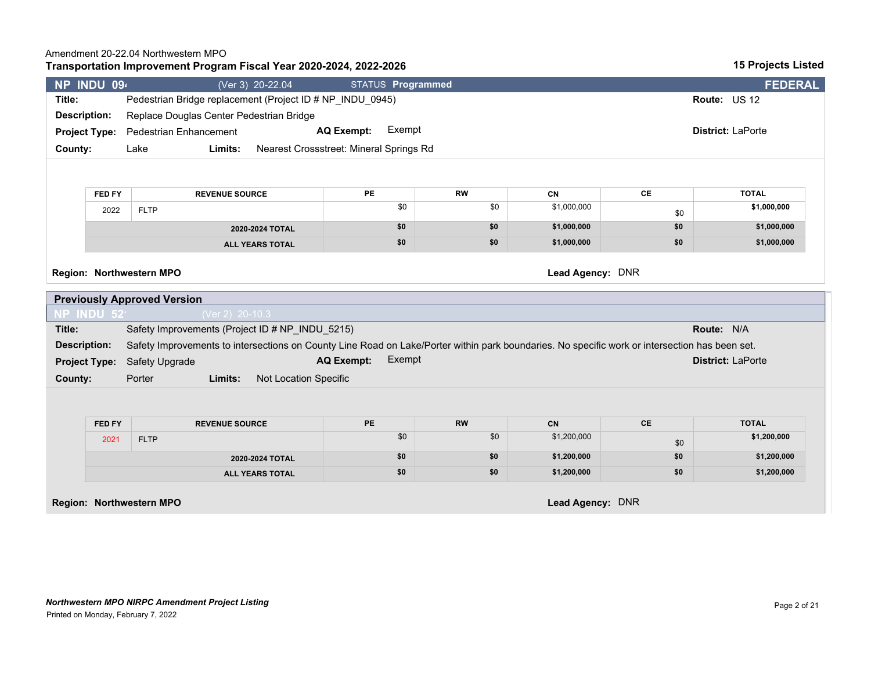### **Transportation Improvement Program Fiscal Year 2020-2024, 2022-2026**

| NP INDU 094<br>STATUS Programmed<br>(Ver 3) 20-22.04<br>Pedestrian Bridge replacement (Project ID # NP INDU 0945)<br>Title:<br><b>Route: US 12</b><br>Replace Douglas Center Pedestrian Bridge<br>Description:<br>Exempt<br><b>AQ Exempt:</b><br><b>District: LaPorte</b><br><b>Project Type:</b> Pedestrian Enhancement<br>Nearest Crossstreet: Mineral Springs Rd<br>Lake<br>Limits:<br>County: |                |
|---------------------------------------------------------------------------------------------------------------------------------------------------------------------------------------------------------------------------------------------------------------------------------------------------------------------------------------------------------------------------------------------------|----------------|
|                                                                                                                                                                                                                                                                                                                                                                                                   | <b>FEDERAL</b> |
|                                                                                                                                                                                                                                                                                                                                                                                                   |                |
|                                                                                                                                                                                                                                                                                                                                                                                                   |                |
|                                                                                                                                                                                                                                                                                                                                                                                                   |                |
|                                                                                                                                                                                                                                                                                                                                                                                                   |                |
|                                                                                                                                                                                                                                                                                                                                                                                                   |                |
|                                                                                                                                                                                                                                                                                                                                                                                                   |                |

| FED FY | <b>REVENUE SOURCE</b>  | PE  | <b>RW</b> | CN          | СE  | <b>TOTAL</b> |
|--------|------------------------|-----|-----------|-------------|-----|--------------|
| 2022   | <b>FLTP</b>            | ¢∩  | \$0       | \$1,000,000 | \$0 | \$1,000,000  |
|        | 2020-2024 TOTAL        | \$0 | 50        | \$1,000,000 | \$0 | \$1,000,000  |
|        | <b>ALL YEARS TOTAL</b> | \$0 | \$0       | \$1,000,000 | \$0 | \$1,000,000  |

**Region: Northwestern MPO Lead Agency:** DNR

| <b>Previously Approved Version</b> |                                     |                   |                                                 |        |                                                                                                                                                |  |  |
|------------------------------------|-------------------------------------|-------------------|-------------------------------------------------|--------|------------------------------------------------------------------------------------------------------------------------------------------------|--|--|
| NP INDU $52^{\circ}$               |                                     | (Ver 2) $20-10.3$ |                                                 |        |                                                                                                                                                |  |  |
| Title:                             |                                     |                   | Safety Improvements (Project ID # NP INDU 5215) |        | <b>Route: N/A</b>                                                                                                                              |  |  |
| Description:                       |                                     |                   |                                                 |        | Safety Improvements to intersections on County Line Road on Lake/Porter within park boundaries. No specific work or intersection has been set. |  |  |
|                                    | <b>Project Type:</b> Safety Upgrade |                   | <b>AQ Exempt:</b>                               | Exempt | <b>District: LaPorte</b>                                                                                                                       |  |  |
| County:                            | Porter                              | Limits:           | Not Location Specific                           |        |                                                                                                                                                |  |  |

| <b>FED FY</b> | <b>REVENUE SOURCE</b>  | PE  | <b>RW</b> | CN          | СE  | <b>TOTAL</b> |
|---------------|------------------------|-----|-----------|-------------|-----|--------------|
| 2021          | <b>FLTP</b>            | \$0 | \$0       | \$1,200,000 | \$0 | \$1,200,000  |
|               | 2020-2024 TOTAL        | \$0 | \$0       | \$1,200,000 | \$0 | \$1,200,000  |
|               | <b>ALL YEARS TOTAL</b> | \$0 | \$0       | \$1,200,000 | \$0 | \$1,200,000  |

**Region: Northwestern MPO Lead Agency:** DNR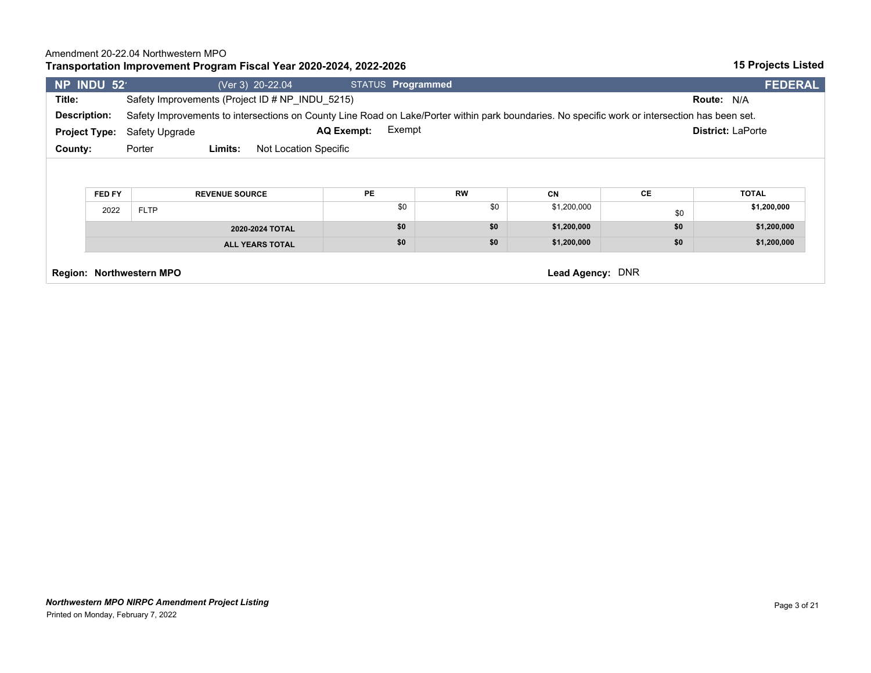### **Transportation Improvement Program Fiscal Year 2020-2024, 2022-2026**

| NP INDU 52           |                                                                                                                                                                       |                                 | (Ver 3) 20-22.04                                | STATUS Programmed           |                  |                          |           | <b>FEDERAL</b>              |
|----------------------|-----------------------------------------------------------------------------------------------------------------------------------------------------------------------|---------------------------------|-------------------------------------------------|-----------------------------|------------------|--------------------------|-----------|-----------------------------|
| Title:               |                                                                                                                                                                       |                                 | Safety Improvements (Project ID # NP INDU 5215) |                             |                  |                          |           | <b>Route: N/A</b>           |
|                      | Safety Improvements to intersections on County Line Road on Lake/Porter within park boundaries. No specific work or intersection has been set.<br><b>Description:</b> |                                 |                                                 |                             |                  |                          |           |                             |
| <b>Project Type:</b> |                                                                                                                                                                       | Safety Upgrade                  |                                                 | Exempt<br><b>AQ Exempt:</b> |                  |                          |           | <b>District: LaPorte</b>    |
| County:              |                                                                                                                                                                       | Porter                          | Limits:<br>Not Location Specific                |                             |                  |                          |           |                             |
|                      | FED FY<br>2022                                                                                                                                                        | <b>FLTP</b>                     | <b>REVENUE SOURCE</b>                           | <b>PE</b><br>\$0            | <b>RW</b><br>\$0 | <b>CN</b><br>\$1,200,000 | СE<br>\$0 | <b>TOTAL</b><br>\$1,200,000 |
|                      | 2020-2024 TOTAL                                                                                                                                                       |                                 |                                                 | \$0                         | \$0              | \$1,200,000              | \$0       | \$1,200,000                 |
|                      |                                                                                                                                                                       |                                 | <b>ALL YEARS TOTAL</b>                          | \$0                         | \$0              | \$1,200,000              | \$0       | \$1,200,000                 |
|                      |                                                                                                                                                                       | <b>Region: Northwestern MPO</b> |                                                 |                             |                  | Lead Agency: DNR         |           |                             |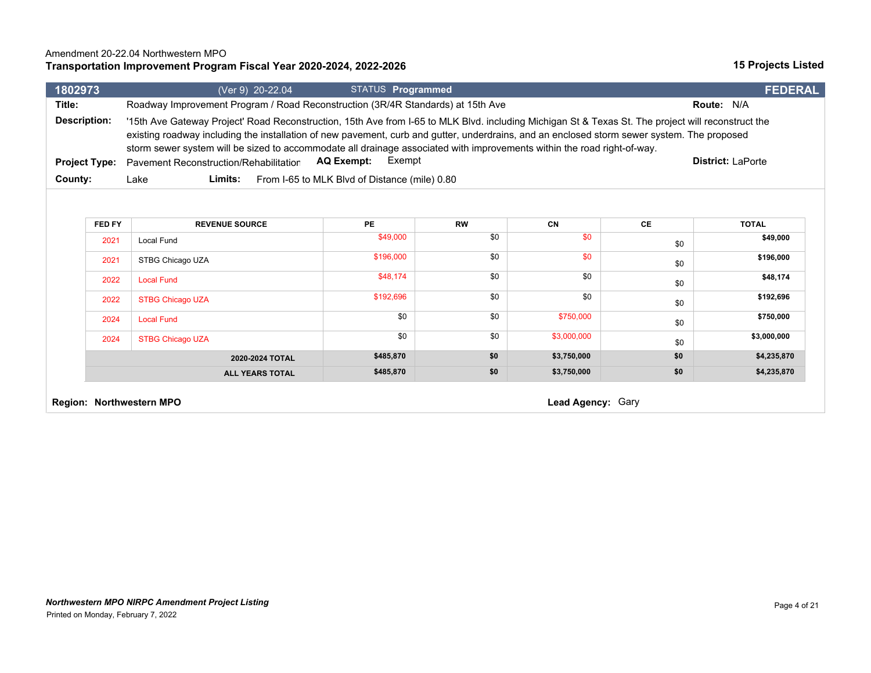### **Transportation Improvement Program Fiscal Year 2020-2024, 2022-2026**

| 1802973              |                                                                                 | (Ver 9) 20-22.04  | STATUS <b>Programmed</b>                      |                                                                                                                                                                                                                                                                                                                                                                                                                              |                   | <b>FEDERAL</b>           |
|----------------------|---------------------------------------------------------------------------------|-------------------|-----------------------------------------------|------------------------------------------------------------------------------------------------------------------------------------------------------------------------------------------------------------------------------------------------------------------------------------------------------------------------------------------------------------------------------------------------------------------------------|-------------------|--------------------------|
| Title:               | Roadway Improvement Program / Road Reconstruction (3R/4R Standards) at 15th Ave |                   |                                               |                                                                                                                                                                                                                                                                                                                                                                                                                              | <b>Route: N/A</b> |                          |
| Description:         |                                                                                 |                   |                                               | '15th Ave Gateway Project' Road Reconstruction, 15th Ave from I-65 to MLK Blvd. including Michigan St & Texas St. The project will reconstruct the<br>existing roadway including the installation of new pavement, curb and gutter, underdrains, and an enclosed storm sewer system. The proposed<br>storm sewer system will be sized to accommodate all drainage associated with improvements within the road right-of-way. |                   |                          |
| <b>Project Type:</b> | Pavement Reconstruction/Rehabilitation                                          | <b>AQ Exempt:</b> | Exempt                                        |                                                                                                                                                                                                                                                                                                                                                                                                                              |                   | <b>District: LaPorte</b> |
| County:              | Limits:<br>Lake                                                                 |                   | From I-65 to MLK Blvd of Distance (mile) 0.80 |                                                                                                                                                                                                                                                                                                                                                                                                                              |                   |                          |
|                      |                                                                                 |                   |                                               |                                                                                                                                                                                                                                                                                                                                                                                                                              |                   |                          |

| FED FY | <b>REVENUE SOURCE</b>   | <b>PE</b> | <b>RW</b> | CN          | <b>CE</b> | <b>TOTAL</b> |
|--------|-------------------------|-----------|-----------|-------------|-----------|--------------|
| 2021   | Local Fund              | \$49,000  | \$0       | \$0         | \$0       | \$49,000     |
| 2021   | STBG Chicago UZA        | \$196,000 | \$0       | \$0         | \$0       | \$196,000    |
| 2022   | <b>Local Fund</b>       | \$48,174  | \$0       | \$0         | \$0       | \$48,174     |
| 2022   | <b>STBG Chicago UZA</b> | \$192,696 | \$0       | \$0         | \$0       | \$192,696    |
| 2024   | <b>Local Fund</b>       | \$0       | \$0       | \$750,000   | \$0       | \$750,000    |
| 2024   | <b>STBG Chicago UZA</b> | \$0       | \$0       | \$3,000,000 | \$0       | \$3,000,000  |
|        | 2020-2024 TOTAL         | \$485,870 | \$0       | \$3,750,000 | \$0       | \$4,235,870  |
|        | <b>ALL YEARS TOTAL</b>  | \$485,870 | \$0       | \$3,750,000 | \$0       | \$4,235,870  |

**Region: Northwestern MPO Contract Contract Contract Contract Contract Contract Contract Contract Contract Contract Contract Contract Contract Contract Contract Contract Contract Contract Contract Contract Contract Contr**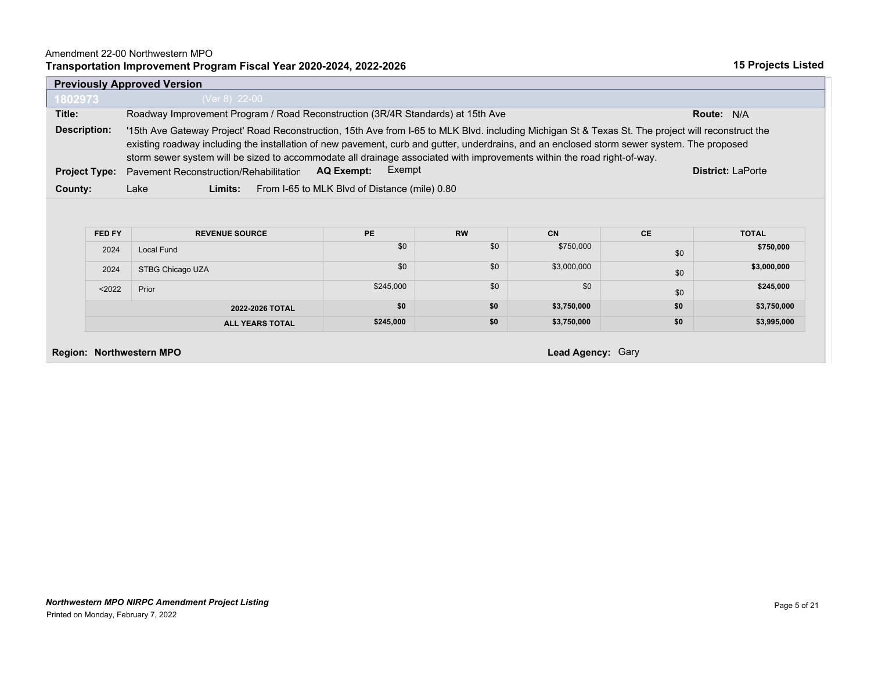#### Amendment 22-00 Northwestern MPO

#### **Transportation Improvement Program Fiscal Year 2020-2024, 2022-2026**

|                      | <b>Previously Approved Version</b>                                                                                                                                                                                                                                                                                                                                                                                           |                                               |           |             |           |                   |  |  |  |
|----------------------|------------------------------------------------------------------------------------------------------------------------------------------------------------------------------------------------------------------------------------------------------------------------------------------------------------------------------------------------------------------------------------------------------------------------------|-----------------------------------------------|-----------|-------------|-----------|-------------------|--|--|--|
| 1802973              | (Ver 8) 22-00                                                                                                                                                                                                                                                                                                                                                                                                                |                                               |           |             |           |                   |  |  |  |
| Title:               | Roadway Improvement Program / Road Reconstruction (3R/4R Standards) at 15th Ave                                                                                                                                                                                                                                                                                                                                              |                                               |           |             |           | <b>Route: N/A</b> |  |  |  |
| Description:         | '15th Ave Gateway Project' Road Reconstruction, 15th Ave from I-65 to MLK Blvd. including Michigan St & Texas St. The project will reconstruct the<br>existing roadway including the installation of new pavement, curb and gutter, underdrains, and an enclosed storm sewer system. The proposed<br>storm sewer system will be sized to accommodate all drainage associated with improvements within the road right-of-way. |                                               |           |             |           |                   |  |  |  |
| <b>Project Type:</b> | Exempt<br><b>AQ Exempt:</b><br><b>District: LaPorte</b><br>Pavement Reconstruction/Rehabilitation                                                                                                                                                                                                                                                                                                                            |                                               |           |             |           |                   |  |  |  |
| County:              | Lake<br>Limits:                                                                                                                                                                                                                                                                                                                                                                                                              | From I-65 to MLK Blvd of Distance (mile) 0.80 |           |             |           |                   |  |  |  |
| FED FY               | <b>REVENUE SOURCE</b>                                                                                                                                                                                                                                                                                                                                                                                                        | <b>PE</b>                                     | <b>RW</b> | CN          | <b>CE</b> | <b>TOTAL</b>      |  |  |  |
| 2024                 | <b>Local Fund</b>                                                                                                                                                                                                                                                                                                                                                                                                            | \$0                                           | \$0       | \$750,000   | \$0       | \$750,000         |  |  |  |
| 2024                 | STBG Chicago UZA                                                                                                                                                                                                                                                                                                                                                                                                             | \$0                                           | \$0       | \$3,000,000 | \$0       | \$3,000,000       |  |  |  |
| < 2022               | Prior                                                                                                                                                                                                                                                                                                                                                                                                                        | \$245,000                                     | \$0       | \$0         | \$0       |                   |  |  |  |
|                      |                                                                                                                                                                                                                                                                                                                                                                                                                              |                                               |           |             |           | \$245,000         |  |  |  |
|                      | 2022-2026 TOTAL                                                                                                                                                                                                                                                                                                                                                                                                              | \$0                                           | \$0       | \$3,750,000 | \$0       | \$3,750,000       |  |  |  |

**Region: Northwestern MPO Lead Agency:** Gary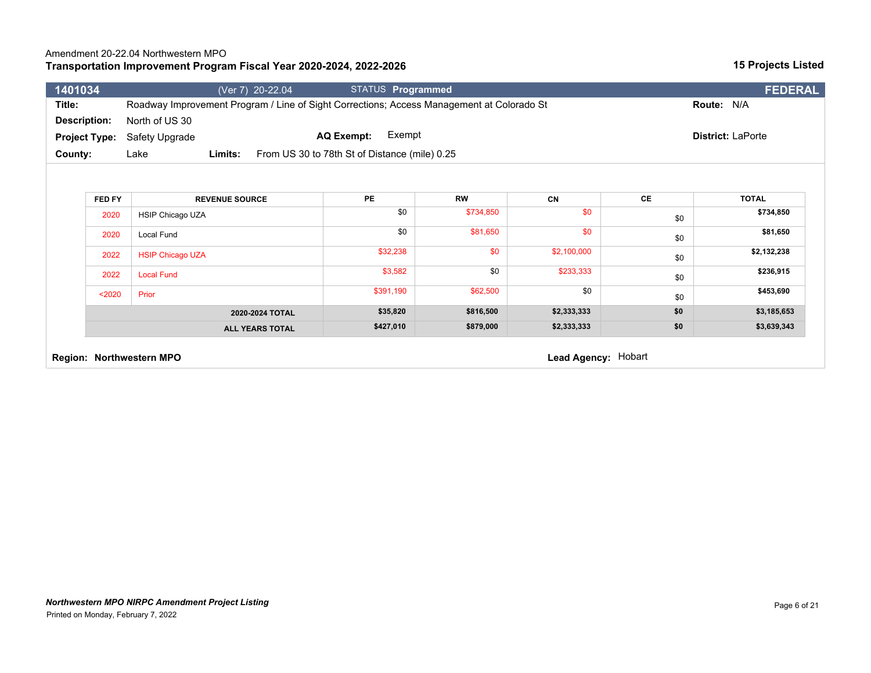## **Transportation Improvement Program Fiscal Year 2020-2024, 2022-2026**

| 1401034                                                                                      | (Ver 7) 20-22.04                                                                          |                   | STATUS Programmed |             |     | <b>FEDERAL</b>    |  |
|----------------------------------------------------------------------------------------------|-------------------------------------------------------------------------------------------|-------------------|-------------------|-------------|-----|-------------------|--|
| Title:                                                                                       | Roadway Improvement Program / Line of Sight Corrections; Access Management at Colorado St |                   |                   |             |     | Route: N/A        |  |
| <b>Description:</b>                                                                          | North of US 30                                                                            |                   |                   |             |     |                   |  |
| <b>Project Type:</b>                                                                         | Safety Upgrade                                                                            | <b>AQ Exempt:</b> | Exempt            |             |     | District: LaPorte |  |
| County:<br>Limits:<br>From US 30 to 78th St of Distance (mile) 0.25<br>Lake                  |                                                                                           |                   |                   |             |     |                   |  |
|                                                                                              |                                                                                           |                   |                   |             |     |                   |  |
| <b>PE</b><br><b>CE</b><br><b>RW</b><br>CN<br><b>TOTAL</b><br>FED FY<br><b>REVENUE SOURCE</b> |                                                                                           |                   |                   |             |     |                   |  |
| 2020                                                                                         | <b>HSIP Chicago UZA</b>                                                                   |                   | \$0<br>\$734,850  | \$0         | \$0 | \$734,850         |  |
| 2020                                                                                         | Local Fund                                                                                |                   | \$0<br>\$81,650   | \$0         | \$0 | \$81,650          |  |
| 2022                                                                                         | <b>HSIP Chicago UZA</b>                                                                   | \$32,238          | \$0               | \$2,100,000 | \$0 | \$2,132,238       |  |
| 2022<br><b>Local Fund</b>                                                                    |                                                                                           |                   | \$0<br>\$3,582    | \$233,333   | \$0 | \$236,915         |  |
|                                                                                              |                                                                                           |                   |                   |             |     |                   |  |
| $2020$                                                                                       | Prior                                                                                     | \$391,190         | \$62,500          | \$0         | \$0 | \$453,690         |  |
|                                                                                              | 2020-2024 TOTAL                                                                           | \$35,820          | \$816,500         | \$2,333,333 | \$0 | \$3,185,653       |  |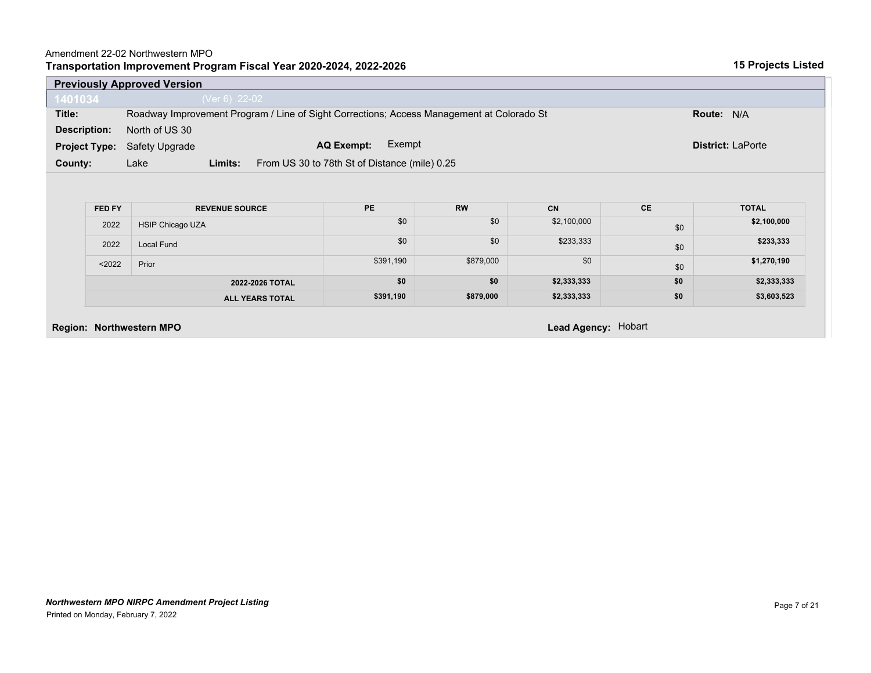### Amendment 22-02 Northwestern MPO

|  | Transportation Improvement Program Fiscal Year 2020-2024, 2022-2026 |  |
|--|---------------------------------------------------------------------|--|
|  |                                                                     |  |

|                                                                       | <b>Previously Approved Version</b>                                          |                                                                                            |                                             |                                             |                                                             |                                       |                                                                        |  |  |
|-----------------------------------------------------------------------|-----------------------------------------------------------------------------|--------------------------------------------------------------------------------------------|---------------------------------------------|---------------------------------------------|-------------------------------------------------------------|---------------------------------------|------------------------------------------------------------------------|--|--|
| 1401034                                                               |                                                                             | (Ver 6) 22-02                                                                              |                                             |                                             |                                                             |                                       |                                                                        |  |  |
| Title:                                                                |                                                                             | Roadway Improvement Program / Line of Sight Corrections; Access Management at Colorado St  |                                             |                                             |                                                             |                                       | Route: N/A                                                             |  |  |
| North of US 30<br><b>Description:</b>                                 |                                                                             |                                                                                            |                                             |                                             |                                                             |                                       |                                                                        |  |  |
| Exempt<br><b>AQ Exempt:</b><br><b>Project Type:</b><br>Safety Upgrade |                                                                             |                                                                                            |                                             |                                             |                                                             |                                       | <b>District: LaPorte</b>                                               |  |  |
|                                                                       | From US 30 to 78th St of Distance (mile) 0.25<br>County:<br>Lake<br>Limits: |                                                                                            |                                             |                                             |                                                             |                                       |                                                                        |  |  |
|                                                                       | FED FY<br>2022<br>2022<br>$2022$                                            | <b>REVENUE SOURCE</b><br><b>HSIP Chicago UZA</b><br>Local Fund<br>Prior<br>2022-2026 TOTAL | <b>PE</b><br>\$0<br>\$0<br>\$391,190<br>\$0 | <b>RW</b><br>\$0<br>\$0<br>\$879,000<br>\$0 | <b>CN</b><br>\$2,100,000<br>\$233,333<br>\$0<br>\$2,333,333 | <b>CE</b><br>\$0<br>\$0<br>\$0<br>\$0 | <b>TOTAL</b><br>\$2,100,000<br>\$233,333<br>\$1,270,190<br>\$2,333,333 |  |  |
|                                                                       |                                                                             | <b>ALL YEARS TOTAL</b>                                                                     | \$391,190                                   | \$879,000                                   | \$2,333,333                                                 | \$0                                   | \$3,603,523                                                            |  |  |
|                                                                       |                                                                             | <b>Region: Northwestern MPO</b>                                                            |                                             |                                             | Lead Agency: Hobart                                         |                                       |                                                                        |  |  |
|                                                                       |                                                                             |                                                                                            |                                             |                                             |                                                             |                                       |                                                                        |  |  |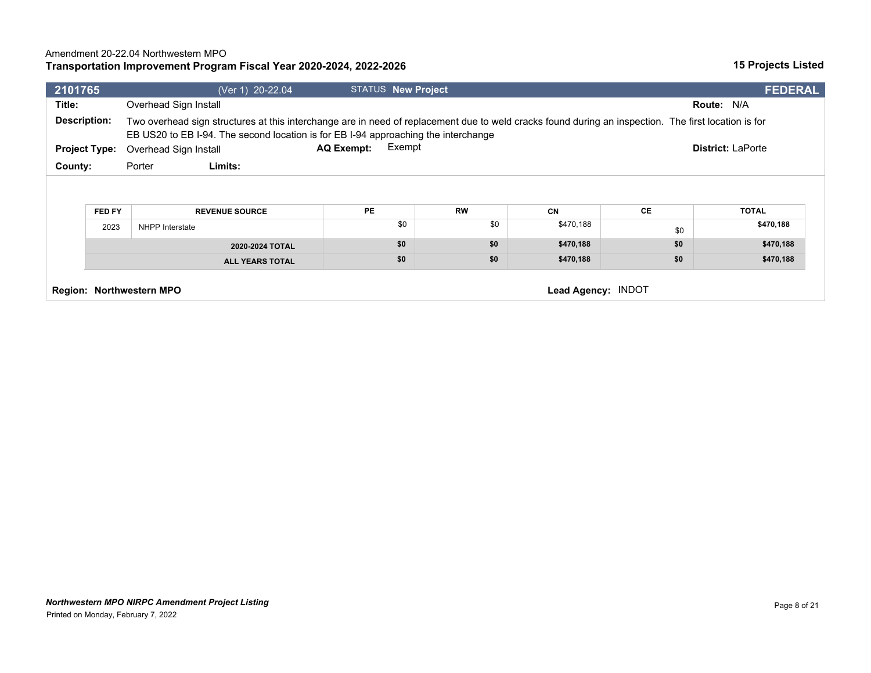## **Transportation Improvement Program Fiscal Year 2020-2024, 2022-2026**

| 2101765                                                  |                        |                       | (Ver 1) 20-22.04                                                                                                                                                                                                                           |                   | <b>STATUS New Project</b> |                  |                        |                  | <b>FEDERAL</b>            |  |
|----------------------------------------------------------|------------------------|-----------------------|--------------------------------------------------------------------------------------------------------------------------------------------------------------------------------------------------------------------------------------------|-------------------|---------------------------|------------------|------------------------|------------------|---------------------------|--|
| Title:                                                   |                        | Overhead Sign Install |                                                                                                                                                                                                                                            |                   |                           |                  |                        |                  | <b>Route: N/A</b>         |  |
| <b>Description:</b>                                      |                        |                       | Two overhead sign structures at this interchange are in need of replacement due to weld cracks found during an inspection. The first location is for<br>EB US20 to EB I-94. The second location is for EB I-94 approaching the interchange |                   |                           |                  |                        |                  |                           |  |
| <b>Project Type:</b>                                     |                        | Overhead Sign Install |                                                                                                                                                                                                                                            | <b>AQ Exempt:</b> | Exempt                    |                  |                        |                  | <b>District: LaPorte</b>  |  |
| County:                                                  |                        | Porter                | Limits:                                                                                                                                                                                                                                    |                   |                           |                  |                        |                  |                           |  |
|                                                          | FED FY<br>2023         | NHPP Interstate       | <b>REVENUE SOURCE</b>                                                                                                                                                                                                                      | <b>PE</b>         | \$0                       | <b>RW</b><br>\$0 | <b>CN</b><br>\$470,188 | <b>CE</b><br>\$0 | <b>TOTAL</b><br>\$470,188 |  |
|                                                          | 2020-2024 TOTAL        |                       |                                                                                                                                                                                                                                            | \$0               | \$0                       | \$470,188        | \$0                    | \$470,188        |                           |  |
|                                                          | <b>ALL YEARS TOTAL</b> |                       |                                                                                                                                                                                                                                            |                   | \$0                       | \$0              | \$470,188              | \$0              | \$470,188                 |  |
| INDOT<br>Region: Northwestern MPO<br><b>Lead Agency:</b> |                        |                       |                                                                                                                                                                                                                                            |                   |                           |                  |                        |                  |                           |  |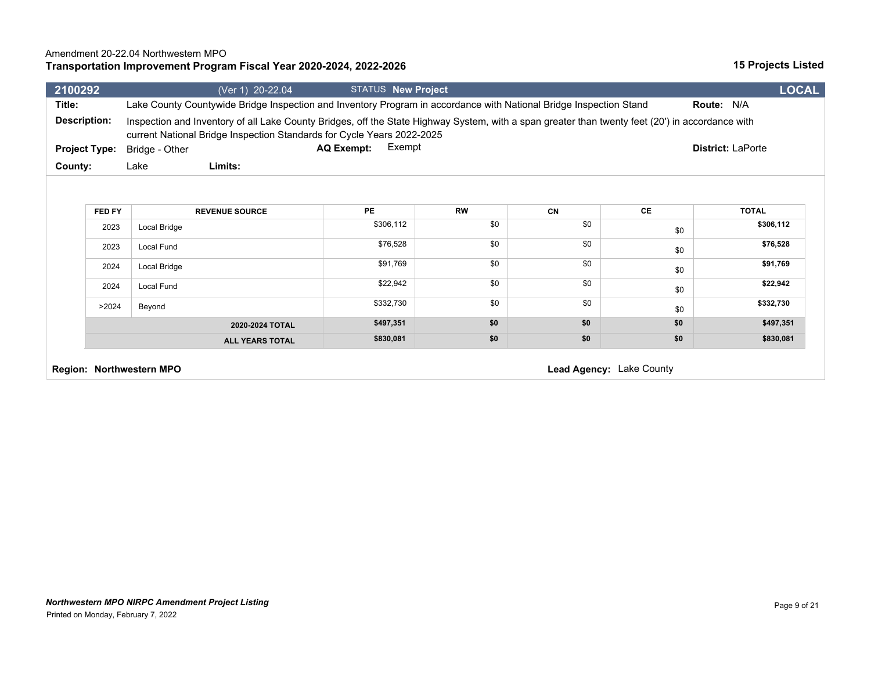## **Transportation Improvement Program Fiscal Year 2020-2024, 2022-2026**

| 2100292              |                                                      | (Ver 1) 20-22.04                                                                                                                                                                                                           | <b>STATUS New Project</b>   |           |     |     | <b>LOCAL</b>             |
|----------------------|------------------------------------------------------|----------------------------------------------------------------------------------------------------------------------------------------------------------------------------------------------------------------------------|-----------------------------|-----------|-----|-----|--------------------------|
| Title:               |                                                      | Lake County Countywide Bridge Inspection and Inventory Program in accordance with National Bridge Inspection Stand                                                                                                         |                             |           |     |     | Route: N/A               |
| <b>Description:</b>  |                                                      | Inspection and Inventory of all Lake County Bridges, off the State Highway System, with a span greater than twenty feet (20') in accordance with<br>current National Bridge Inspection Standards for Cycle Years 2022-2025 |                             |           |     |     |                          |
| <b>Project Type:</b> |                                                      | Bridge - Other                                                                                                                                                                                                             | Exempt<br><b>AQ Exempt:</b> |           |     |     | <b>District: LaPorte</b> |
| County:              |                                                      | Limits:<br>Lake                                                                                                                                                                                                            |                             |           |     |     |                          |
|                      | FED FY                                               | <b>REVENUE SOURCE</b>                                                                                                                                                                                                      | PE                          | <b>RW</b> | CN  | CE  | <b>TOTAL</b>             |
|                      | 2023                                                 | Local Bridge                                                                                                                                                                                                               | \$306,112                   | \$0       | \$0 | \$0 | \$306,112                |
|                      | 2023                                                 | <b>Local Fund</b>                                                                                                                                                                                                          | \$76,528                    | \$0       | \$0 | \$0 | \$76,528                 |
|                      | 2024                                                 | Local Bridge                                                                                                                                                                                                               | \$91,769                    | \$0       | \$0 | \$0 | \$91,769                 |
|                      | 2024                                                 | Local Fund                                                                                                                                                                                                                 | \$22,942                    | \$0       | \$0 | \$0 | \$22,942                 |
|                      | >2024                                                | Beyond                                                                                                                                                                                                                     | \$332,730                   | \$0       | \$0 | \$0 | \$332,730                |
|                      |                                                      | 2020-2024 TOTAL                                                                                                                                                                                                            | \$497,351                   | \$0       | \$0 | \$0 | \$497,351                |
|                      |                                                      | <b>ALL YEARS TOTAL</b>                                                                                                                                                                                                     | \$830,081                   | \$0       | \$0 | \$0 | \$830,081                |
|                      | Lead Agency: Lake County<br>Region: Northwestern MPO |                                                                                                                                                                                                                            |                             |           |     |     |                          |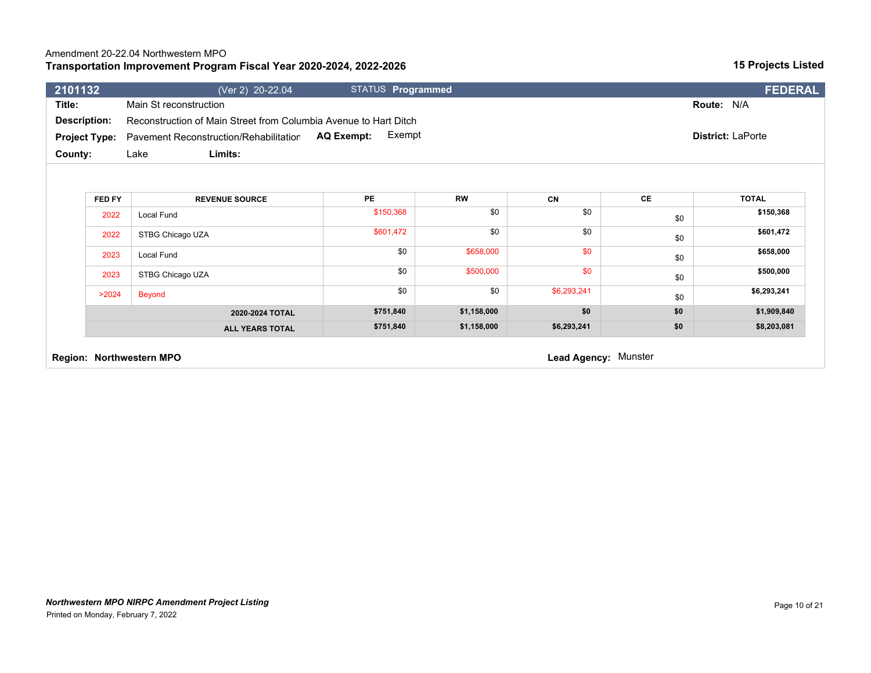### **Transportation Improvement Program Fiscal Year 2020-2024, 2022-2026** Amendment 20-22.04 Northwestern MPO

| 2101132              | (Ver 2) 20-22.04                                                 | <b>STATUS Programmed</b> |             |             |           | FEDERAL           |
|----------------------|------------------------------------------------------------------|--------------------------|-------------|-------------|-----------|-------------------|
| Title:               | Main St reconstruction                                           |                          |             |             |           | Route: N/A        |
| <b>Description:</b>  | Reconstruction of Main Street from Columbia Avenue to Hart Ditch |                          |             |             |           |                   |
| <b>Project Type:</b> | Pavement Reconstruction/Rehabilitation                           | Exempt<br>AQ Exempt:     |             |             |           | District: LaPorte |
| County:              | Limits:<br>Lake                                                  |                          |             |             |           |                   |
|                      |                                                                  |                          |             |             |           |                   |
| FED FY               | <b>REVENUE SOURCE</b>                                            | <b>PE</b>                | <b>RW</b>   | <b>CN</b>   | <b>CE</b> | <b>TOTAL</b>      |
| 2022                 | Local Fund                                                       | \$150,368                | \$0         | \$0         | \$0       | \$150,368         |
| 2022                 | STBG Chicago UZA                                                 | \$601,472                | \$0         | \$0         | \$0       | \$601,472         |
| 2023                 | Local Fund                                                       | \$0                      | \$658,000   | \$0         | \$0       | \$658,000         |
| 2023                 | STBG Chicago UZA                                                 | \$0                      | \$500,000   | \$0         | \$0       | \$500,000         |
| >2024                | <b>Beyond</b>                                                    | \$0                      | \$0         | \$6,293,241 | \$0       | \$6,293,241       |
|                      |                                                                  | \$751,840                | \$1,158,000 | \$0         | \$0       | \$1,909,840       |
|                      | 2020-2024 TOTAL                                                  |                          |             |             |           |                   |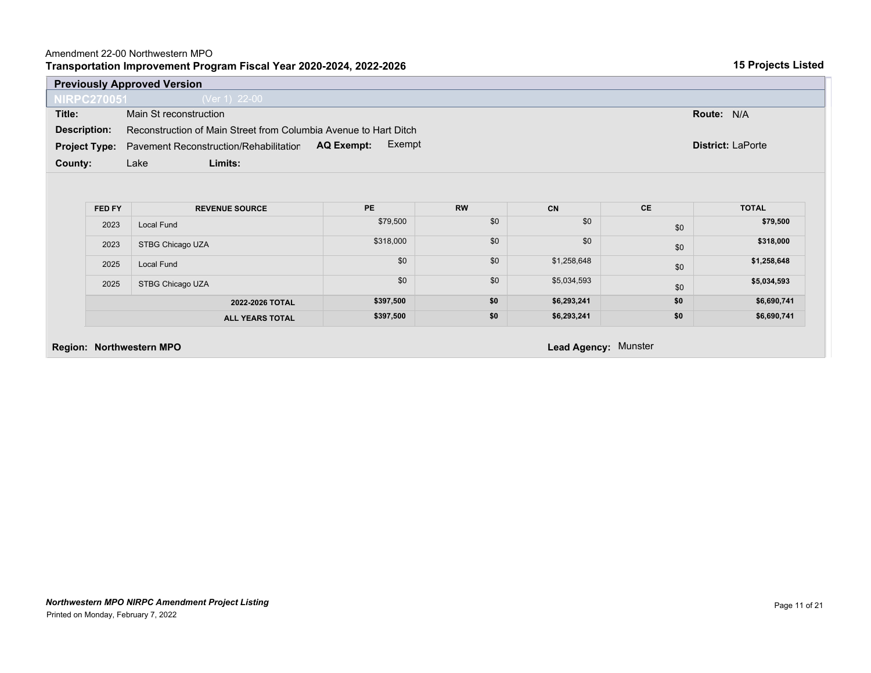### Amendment 22-00 Northwestern MPO

|                      | <b>Previously Approved Version</b>                               |                      |           |             |           |                          |
|----------------------|------------------------------------------------------------------|----------------------|-----------|-------------|-----------|--------------------------|
| <b>NIRPC270051</b>   | $(Ver 1)$ 22-00                                                  |                      |           |             |           |                          |
| Title:               | Main St reconstruction                                           |                      |           |             |           | Route: N/A               |
| <b>Description:</b>  | Reconstruction of Main Street from Columbia Avenue to Hart Ditch |                      |           |             |           |                          |
| <b>Project Type:</b> | Pavement Reconstruction/Rehabilitation                           | Exempt<br>AQ Exempt: |           |             |           | <b>District: LaPorte</b> |
| County:              | Limits:<br>Lake                                                  |                      |           |             |           |                          |
|                      |                                                                  |                      |           |             |           |                          |
|                      |                                                                  |                      |           |             |           |                          |
|                      |                                                                  |                      |           |             |           |                          |
| FED FY               | <b>REVENUE SOURCE</b>                                            | <b>PE</b>            | <b>RW</b> | CN          |           |                          |
|                      |                                                                  |                      |           |             | <b>CE</b> | <b>TOTAL</b>             |
| 2023                 | <b>Local Fund</b>                                                | \$79,500             | \$0       | \$0         | \$0       | \$79,500                 |
| 2023                 | STBG Chicago UZA                                                 | \$318,000            | \$0       | \$0         | \$0       | \$318,000                |
| 2025                 | <b>Local Fund</b>                                                | \$0                  | \$0       | \$1,258,648 | \$0       | \$1,258,648              |
| 2025                 | STBG Chicago UZA                                                 | \$0                  | \$0       | \$5,034,593 | \$0       | \$5,034,593              |
|                      | 2022-2026 TOTAL                                                  | \$397,500            | \$0       | \$6,293,241 | \$0       | \$6,690,741              |
|                      | <b>ALL YEARS TOTAL</b>                                           | \$397,500            | \$0       | \$6,293,241 | \$0       | \$6,690,741              |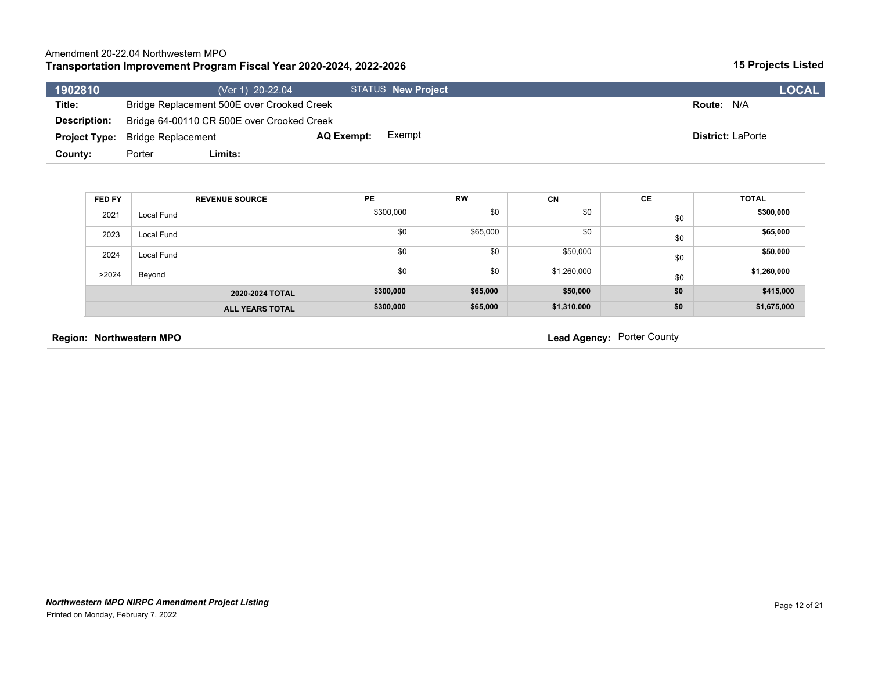## **Transportation Improvement Program Fiscal Year 2020-2024, 2022-2026**

| 1902810 |                      | (Ver 1) 20-22.04                           |                   | <b>STATUS New Project</b> |             |                            | <b>LOCAL</b>      |
|---------|----------------------|--------------------------------------------|-------------------|---------------------------|-------------|----------------------------|-------------------|
| Title:  |                      | Bridge Replacement 500E over Crooked Creek |                   |                           |             |                            | Route: N/A        |
|         | <b>Description:</b>  | Bridge 64-00110 CR 500E over Crooked Creek |                   |                           |             |                            |                   |
|         | <b>Project Type:</b> | <b>Bridge Replacement</b>                  | <b>AQ Exempt:</b> | Exempt                    |             |                            | District: LaPorte |
| County: |                      | Limits:<br>Porter                          |                   |                           |             |                            |                   |
|         |                      |                                            |                   |                           |             |                            |                   |
|         | FED FY               | <b>REVENUE SOURCE</b>                      | <b>PE</b>         | <b>RW</b>                 | CN          | CE                         | <b>TOTAL</b>      |
|         | 2021                 | Local Fund                                 | \$300,000         | \$0                       | \$0         | \$0                        | \$300,000         |
|         | 2023                 | Local Fund                                 |                   | \$0<br>\$65,000           | \$0         | \$0                        | \$65,000          |
|         | 2024                 | Local Fund                                 |                   | \$0<br>\$0                | \$50,000    | \$0                        | \$50,000          |
|         | >2024                | Beyond                                     |                   | \$0<br>\$0                | \$1,260,000 | \$0                        | \$1,260,000       |
|         |                      | 2020-2024 TOTAL                            | \$300,000         | \$65,000                  | \$50,000    | \$0                        | \$415,000         |
|         |                      | <b>ALL YEARS TOTAL</b>                     | \$300,000         | \$65,000                  | \$1,310,000 | \$0                        | \$1,675,000       |
|         |                      | Region: Northwestern MPO                   |                   |                           |             | Lead Agency: Porter County |                   |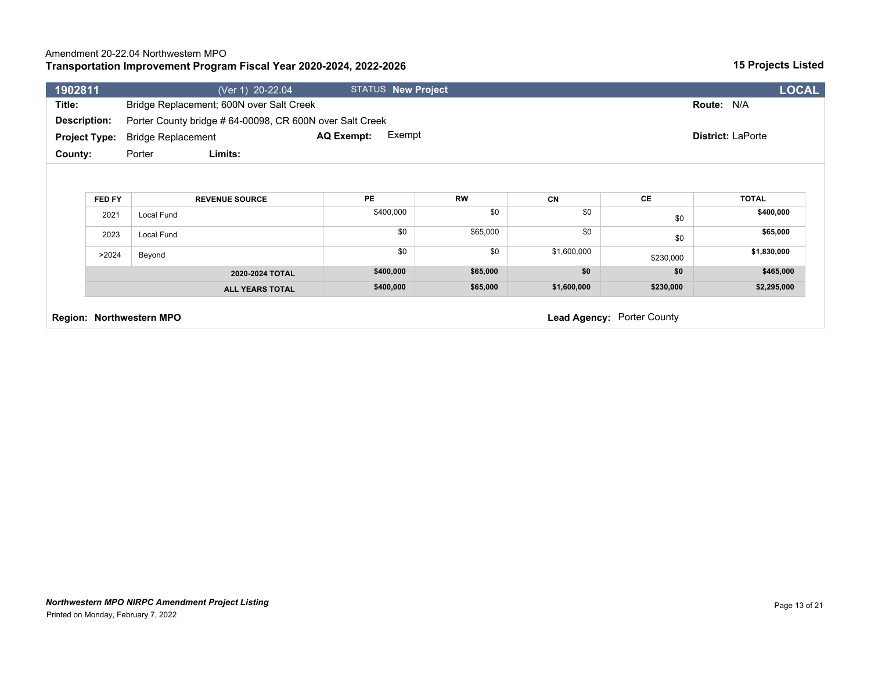## **Transportation Improvement Program Fiscal Year 2020-2024, 2022-2026**

| 1902811              |        |                           | (Ver 1) 20-22.04                                        |                   | STATUS New Project |           |             |                            |                          | <b>LOCAL</b> |  |
|----------------------|--------|---------------------------|---------------------------------------------------------|-------------------|--------------------|-----------|-------------|----------------------------|--------------------------|--------------|--|
| Title:               |        |                           | Bridge Replacement; 600N over Salt Creek                |                   |                    |           |             |                            | Route: N/A               |              |  |
| <b>Description:</b>  |        |                           | Porter County bridge #64-00098, CR 600N over Salt Creek |                   |                    |           |             |                            |                          |              |  |
| <b>Project Type:</b> |        | <b>Bridge Replacement</b> |                                                         | <b>AQ Exempt:</b> | Exempt             |           |             |                            | <b>District: LaPorte</b> |              |  |
| <b>County:</b>       |        | Porter                    | Limits:                                                 |                   |                    |           |             |                            |                          |              |  |
|                      |        |                           |                                                         |                   |                    |           |             |                            |                          |              |  |
|                      |        |                           |                                                         |                   |                    |           |             |                            |                          |              |  |
|                      | FED FY |                           | <b>REVENUE SOURCE</b>                                   | PE                |                    | <b>RW</b> | <b>CN</b>   | CE                         | <b>TOTAL</b>             |              |  |
|                      | 2021   | Local Fund                |                                                         |                   | \$400,000          | \$0       | \$0         | \$0                        | \$400,000                |              |  |
|                      | 2023   | Local Fund                |                                                         |                   | \$0                | \$65,000  | \$0         | \$0                        | \$65,000                 |              |  |
|                      | >2024  | Beyond                    |                                                         |                   | \$0                | \$0       | \$1,600,000 | \$230,000                  | \$1,830,000              |              |  |
|                      |        |                           | 2020-2024 TOTAL                                         |                   | \$400,000          | \$65,000  | \$0         | \$0                        | \$465,000                |              |  |
|                      |        |                           | <b>ALL YEARS TOTAL</b>                                  |                   | \$400,000          | \$65,000  | \$1,600,000 | \$230,000                  | \$2,295,000              |              |  |
|                      |        |                           |                                                         |                   |                    |           |             |                            |                          |              |  |
|                      |        | Region: Northwestern MPO  |                                                         |                   |                    |           |             | Lead Agency: Porter County |                          |              |  |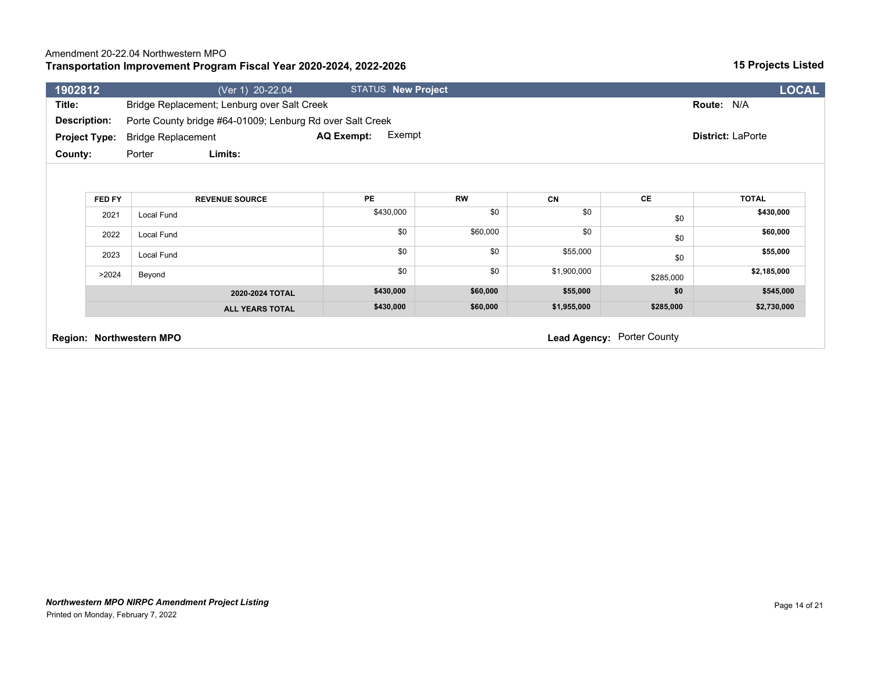### **Transportation Improvement Program Fiscal Year 2020-2024, 2022-2026** Amendment 20-22.04 Northwestern MPO

| 1902812              | (Ver 1) 20-22.04                                          | <b>STATUS New Project</b>   |           |             |           | <b>LOCAL</b>             |
|----------------------|-----------------------------------------------------------|-----------------------------|-----------|-------------|-----------|--------------------------|
| Title:               | Bridge Replacement; Lenburg over Salt Creek               |                             |           |             |           | Route: N/A               |
| <b>Description:</b>  | Porte County bridge #64-01009; Lenburg Rd over Salt Creek |                             |           |             |           |                          |
| <b>Project Type:</b> | <b>Bridge Replacement</b>                                 | Exempt<br><b>AQ Exempt:</b> |           |             |           | <b>District: LaPorte</b> |
| County:              | Limits:<br>Porter                                         |                             |           |             |           |                          |
|                      |                                                           |                             |           |             |           |                          |
|                      |                                                           |                             |           |             |           |                          |
| FED FY               | <b>REVENUE SOURCE</b>                                     | PE                          | <b>RW</b> | <b>CN</b>   | CE        | <b>TOTAL</b>             |
| 2021                 | Local Fund                                                | \$430,000                   | \$0       | \$0         | \$0       | \$430,000                |
| 2022                 | Local Fund                                                | \$0                         | \$60,000  | \$0         | \$0       | \$60,000                 |
| 2023                 | Local Fund                                                | \$0                         | \$0       | \$55,000    | \$0       | \$55,000                 |
| >2024                | Beyond                                                    | \$0                         | \$0       | \$1,900,000 | \$285,000 | \$2,185,000              |
|                      | 2020-2024 TOTAL                                           | \$430,000                   | \$60,000  | \$55,000    | \$0       | \$545,000                |
|                      | <b>ALL YEARS TOTAL</b>                                    | \$430,000                   | \$60,000  | \$1,955,000 | \$285,000 | \$2,730,000              |
|                      |                                                           |                             |           |             |           |                          |

**Region: Northwestern MPO Region: Northwestern MPO Lead Agency: Porter County**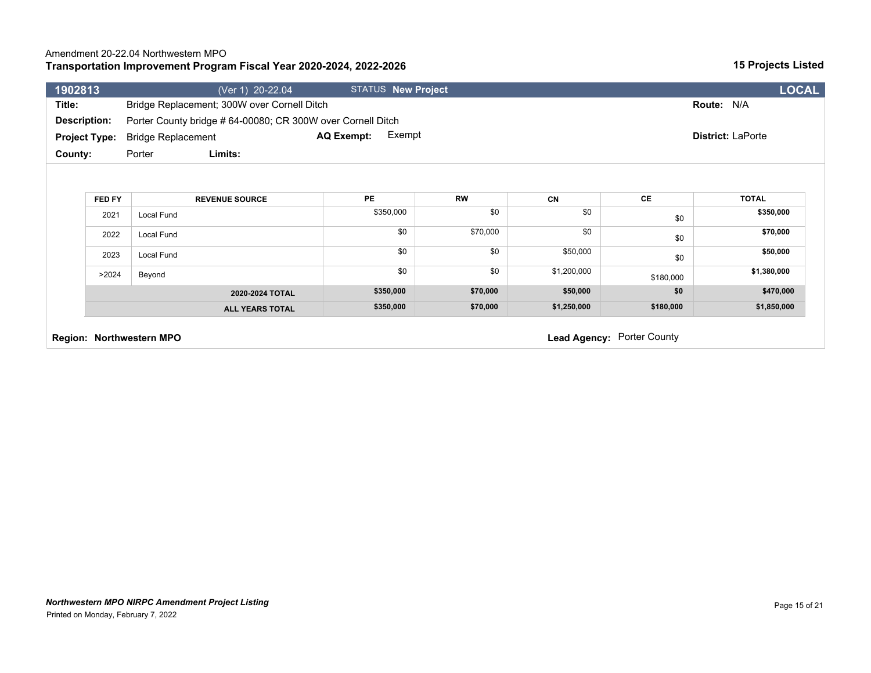|  |  | Page 15 of 21 |
|--|--|---------------|

| Title:              |                      | Bridge Replacement; 300W over Cornell Ditch |                                                             |           |             |                            | Route: N/A               |  |  |  |
|---------------------|----------------------|---------------------------------------------|-------------------------------------------------------------|-----------|-------------|----------------------------|--------------------------|--|--|--|
| <b>Description:</b> |                      |                                             | Porter County bridge # 64-00080; CR 300W over Cornell Ditch |           |             |                            |                          |  |  |  |
|                     | <b>Project Type:</b> | <b>Bridge Replacement</b>                   | Exempt<br>AQ Exempt:                                        |           |             |                            | <b>District: LaPorte</b> |  |  |  |
| County:             |                      | Limits:<br>Porter                           |                                                             |           |             |                            |                          |  |  |  |
|                     |                      |                                             |                                                             |           |             |                            |                          |  |  |  |
|                     | FED FY               | <b>REVENUE SOURCE</b>                       | PE                                                          | <b>RW</b> | <b>CN</b>   | CE                         | <b>TOTAL</b>             |  |  |  |
|                     | 2021                 | Local Fund                                  | \$350,000                                                   | \$0       | \$0         | \$0                        | \$350,000                |  |  |  |
|                     | 2022                 | Local Fund                                  | \$0                                                         | \$70,000  | \$0         | \$0                        | \$70,000                 |  |  |  |
|                     | 2023                 | Local Fund                                  | \$0                                                         | \$0       | \$50,000    | \$0                        | \$50,000                 |  |  |  |
|                     | >2024                | Beyond                                      | \$0                                                         | \$0       | \$1,200,000 | \$180,000                  | \$1,380,000              |  |  |  |
|                     |                      | 2020-2024 TOTAL                             | \$350,000                                                   | \$70,000  | \$50,000    | \$0                        | \$470,000                |  |  |  |
|                     |                      | <b>ALL YEARS TOTAL</b>                      | \$350,000                                                   | \$70,000  | \$1,250,000 | \$180,000                  | \$1,850,000              |  |  |  |
|                     |                      | <b>Region: Northwestern MPO</b>             |                                                             |           |             | Lead Agency: Porter County |                          |  |  |  |

**1902813** (Ver 1) 20-22.04 STATUS **New Project LOCAL**

## **Transportation Improvement Program Fiscal Year 2020-2024, 2022-2026**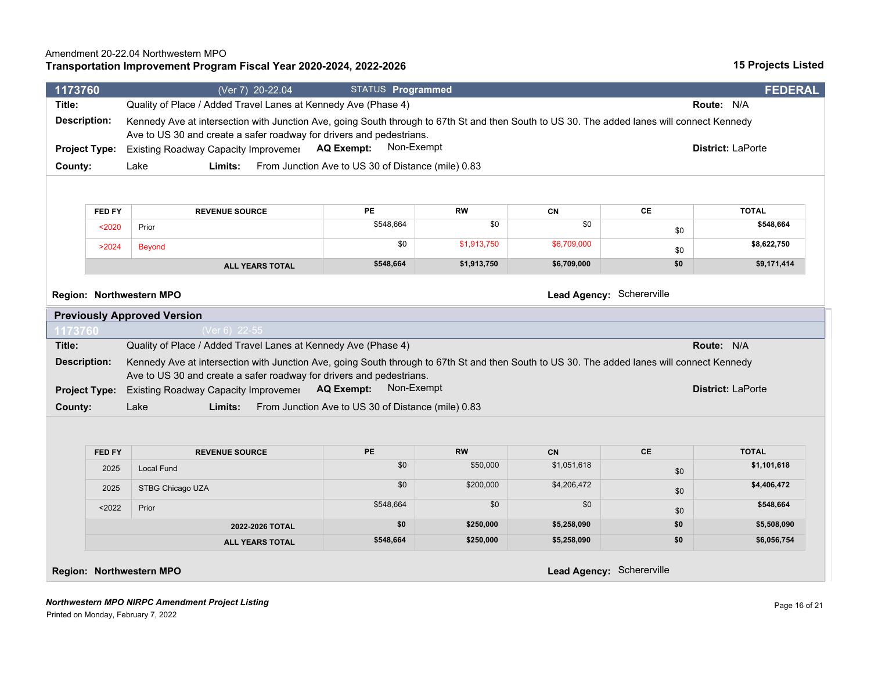#### *Northwestern MPO NIRPC Amendment Project Listing* Printed on Monday, February 7, 2022

| <b>Description:</b>                                   | Quality of Place / Added Travel Lanes at Kennedy Ave (Phase 4)                                                                                                                                                      |                                                    | Route: N/A  |             |           |                          |  |  |  |
|-------------------------------------------------------|---------------------------------------------------------------------------------------------------------------------------------------------------------------------------------------------------------------------|----------------------------------------------------|-------------|-------------|-----------|--------------------------|--|--|--|
|                                                       | Kennedy Ave at intersection with Junction Ave, going South through to 67th St and then South to US 30. The added lanes will connect Kennedy<br>Ave to US 30 and create a safer roadway for drivers and pedestrians. |                                                    |             |             |           |                          |  |  |  |
| <b>Project Type:</b>                                  | Existing Roadway Capacity Improvemer AQ Exempt:                                                                                                                                                                     | Non-Exempt                                         |             |             |           | District: LaPorte        |  |  |  |
| County:                                               | Lake<br>Limits:                                                                                                                                                                                                     | From Junction Ave to US 30 of Distance (mile) 0.83 |             |             |           |                          |  |  |  |
|                                                       |                                                                                                                                                                                                                     |                                                    |             |             |           |                          |  |  |  |
| FED FY                                                | <b>REVENUE SOURCE</b>                                                                                                                                                                                               | PE                                                 | <b>RW</b>   | CN          | CE        | <b>TOTAL</b>             |  |  |  |
| $2020$                                                | Prior                                                                                                                                                                                                               | \$548,664                                          | \$0         | \$0         | \$0       | \$548,664                |  |  |  |
| >2024                                                 | <b>Beyond</b>                                                                                                                                                                                                       | \$0                                                | \$1,913,750 | \$6,709,000 | \$0       | \$8,622,750              |  |  |  |
|                                                       | <b>ALL YEARS TOTAL</b>                                                                                                                                                                                              | \$548,664                                          | \$1,913,750 | \$6,709,000 | \$0       | \$9,171,414              |  |  |  |
| Lead Agency: Schererville<br>Region: Northwestern MPO |                                                                                                                                                                                                                     |                                                    |             |             |           |                          |  |  |  |
|                                                       | <b>Previously Approved Version</b>                                                                                                                                                                                  |                                                    |             |             |           |                          |  |  |  |
| 1173760                                               | (Ver 6) 22-55                                                                                                                                                                                                       |                                                    |             |             |           |                          |  |  |  |
| Title:                                                | Quality of Place / Added Travel Lanes at Kennedy Ave (Phase 4)<br><b>Route: N/A</b>                                                                                                                                 |                                                    |             |             |           |                          |  |  |  |
|                                                       | Kennedy Ave at intersection with Junction Ave, going South through to 67th St and then South to US 30. The added lanes will connect Kennedy                                                                         |                                                    |             |             |           |                          |  |  |  |
| <b>Description:</b>                                   |                                                                                                                                                                                                                     |                                                    |             |             |           |                          |  |  |  |
|                                                       | Ave to US 30 and create a safer roadway for drivers and pedestrians.                                                                                                                                                | Non-Exempt                                         |             |             |           | <b>District: LaPorte</b> |  |  |  |
|                                                       | Existing Roadway Capacity Improvemer AQ Exempt:<br>Limits:<br>Lake                                                                                                                                                  | From Junction Ave to US 30 of Distance (mile) 0.83 |             |             |           |                          |  |  |  |
|                                                       |                                                                                                                                                                                                                     |                                                    |             |             |           |                          |  |  |  |
| FED FY                                                | <b>REVENUE SOURCE</b>                                                                                                                                                                                               | PE                                                 | <b>RW</b>   | <b>CN</b>   | <b>CE</b> | <b>TOTAL</b>             |  |  |  |
| 2025                                                  | Local Fund                                                                                                                                                                                                          | \$0                                                | \$50,000    | \$1,051,618 | \$0       | \$1,101,618              |  |  |  |
| <b>Project Type:</b><br>County:<br>2025               | STBG Chicago UZA                                                                                                                                                                                                    | \$0                                                | \$200,000   | \$4,206,472 | \$0       | \$4,406,472              |  |  |  |
| $2022$                                                | Prior                                                                                                                                                                                                               | \$548,664                                          | \$0         | \$0         | \$0       | \$548,664                |  |  |  |
|                                                       | 2022-2026 TOTAL                                                                                                                                                                                                     | \$0                                                | \$250,000   | \$5,258,090 | \$0       | \$5,508,090              |  |  |  |

**1173760** (Ver 7) 20-22.04 STATUS **Programmed FEDERAL**

# **Transportation Improvement Program Fiscal Year 2020-2024, 2022-2026**

## Amendment 20-22.04 Northwestern MPO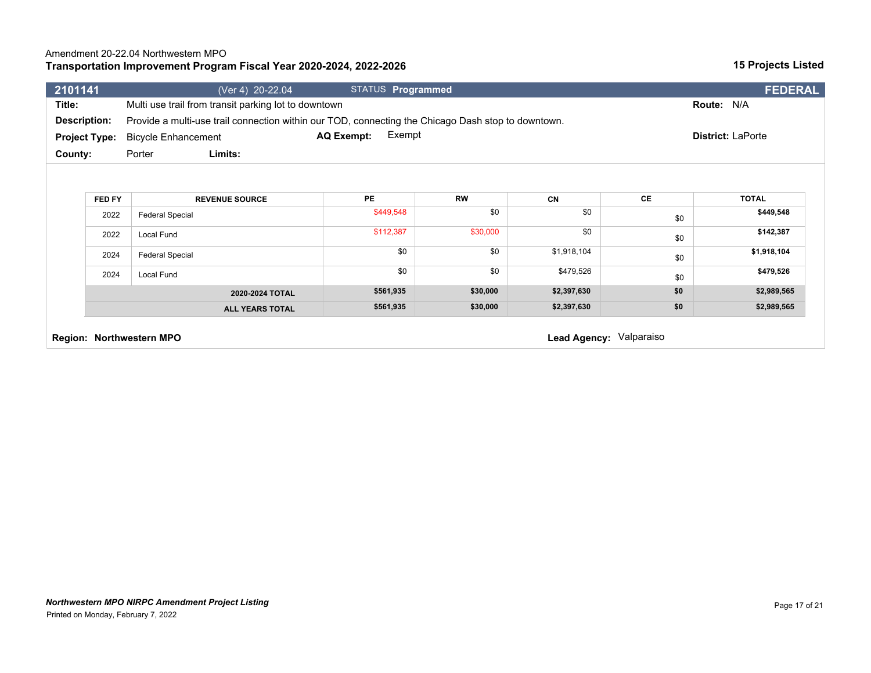### **Transportation Improvement Program Fiscal Year 2020-2024, 2022-2026**

| 2101141              | (Ver 4) 20-22.04                                                                                   | STATUS Programmed           |           |             |     | <b>FEDERAL</b>           |
|----------------------|----------------------------------------------------------------------------------------------------|-----------------------------|-----------|-------------|-----|--------------------------|
| Title:               | Multi use trail from transit parking lot to downtown                                               |                             |           |             |     | Route: N/A               |
| Description:         | Provide a multi-use trail connection within our TOD, connecting the Chicago Dash stop to downtown. |                             |           |             |     |                          |
| <b>Project Type:</b> | <b>Bicycle Enhancement</b>                                                                         | Exempt<br><b>AQ Exempt:</b> |           |             |     | <b>District: LaPorte</b> |
| County:              | Limits:<br>Porter                                                                                  |                             |           |             |     |                          |
|                      |                                                                                                    |                             |           |             |     |                          |
|                      |                                                                                                    |                             |           |             |     |                          |
| FED FY               | <b>REVENUE SOURCE</b>                                                                              | <b>PE</b>                   | <b>RW</b> | <b>CN</b>   | CE  | <b>TOTAL</b>             |
| 2022                 | <b>Federal Special</b>                                                                             | \$449,548                   | \$0       | \$0         | \$0 | \$449,548                |
| 2022                 | Local Fund                                                                                         | \$112,387                   | \$30,000  | \$0         | \$0 | \$142,387                |
| 2024                 | <b>Federal Special</b>                                                                             | \$0                         | \$0       | \$1,918,104 | \$0 | \$1,918,104              |
| 2024                 | Local Fund                                                                                         | \$0                         | \$0       | \$479,526   | \$0 | \$479,526                |
|                      | 2020-2024 TOTAL                                                                                    | \$561,935                   | \$30,000  | \$2,397,630 | \$0 | \$2,989,565              |
|                      | <b>ALL YEARS TOTAL</b>                                                                             | \$561,935                   | \$30,000  | \$2,397,630 | \$0 | \$2,989,565              |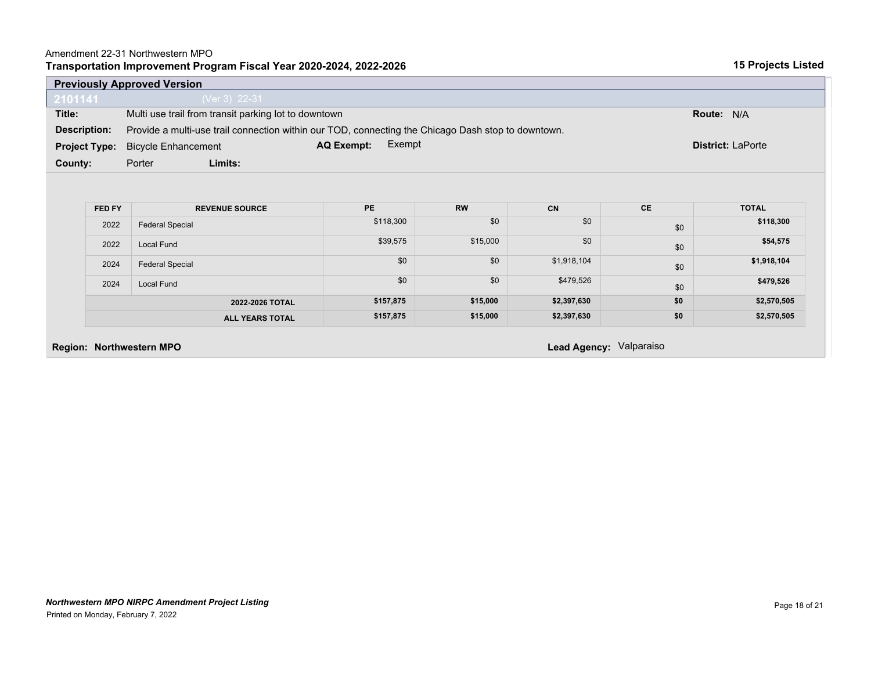### Amendment 22-31 Northwestern MPO

|  |  | Transportation Improvement Program Fiscal Year 2020-2024, 2022-2026 |  |  |
|--|--|---------------------------------------------------------------------|--|--|
|--|--|---------------------------------------------------------------------|--|--|

| (Ver 3) 22-31                                                                     |                                                      |           |             |                                                                                                    |                          |  |  |
|-----------------------------------------------------------------------------------|------------------------------------------------------|-----------|-------------|----------------------------------------------------------------------------------------------------|--------------------------|--|--|
|                                                                                   |                                                      |           |             |                                                                                                    |                          |  |  |
|                                                                                   | Multi use trail from transit parking lot to downtown |           |             |                                                                                                    |                          |  |  |
|                                                                                   |                                                      |           |             |                                                                                                    |                          |  |  |
| Exempt<br><b>AQ Exempt:</b><br><b>Project Type:</b><br><b>Bicycle Enhancement</b> |                                                      |           |             |                                                                                                    | <b>District: LaPorte</b> |  |  |
| Limits:                                                                           |                                                      |           |             |                                                                                                    |                          |  |  |
|                                                                                   |                                                      |           |             |                                                                                                    |                          |  |  |
|                                                                                   |                                                      |           |             |                                                                                                    |                          |  |  |
| <b>REVENUE SOURCE</b>                                                             | PE                                                   | <b>RW</b> | CN          | <b>CE</b>                                                                                          | <b>TOTAL</b>             |  |  |
| <b>Federal Special</b>                                                            | \$118,300                                            | \$0       | \$0         | \$0                                                                                                | \$118,300                |  |  |
| Local Fund                                                                        | \$39,575                                             | \$15,000  | \$0         | \$0                                                                                                | \$54,575                 |  |  |
| <b>Federal Special</b>                                                            | \$0                                                  | \$0       | \$1,918,104 | \$0                                                                                                | \$1,918,104              |  |  |
| Local Fund                                                                        | \$0                                                  | \$0       | \$479,526   | \$0                                                                                                | \$479,526                |  |  |
| 2022-2026 TOTAL                                                                   | \$157,875                                            | \$15,000  | \$2,397,630 | \$0                                                                                                | \$2,570,505              |  |  |
| <b>ALL YEARS TOTAL</b>                                                            | \$157,875                                            | \$15,000  | \$2,397,630 | \$0                                                                                                | \$2,570,505              |  |  |
|                                                                                   |                                                      |           |             |                                                                                                    |                          |  |  |
|                                                                                   | Porter<br><b>Region: Northwestern MPO</b>            |           |             | Provide a multi-use trail connection within our TOD, connecting the Chicago Dash stop to downtown. | Lead Agency: Valparaiso  |  |  |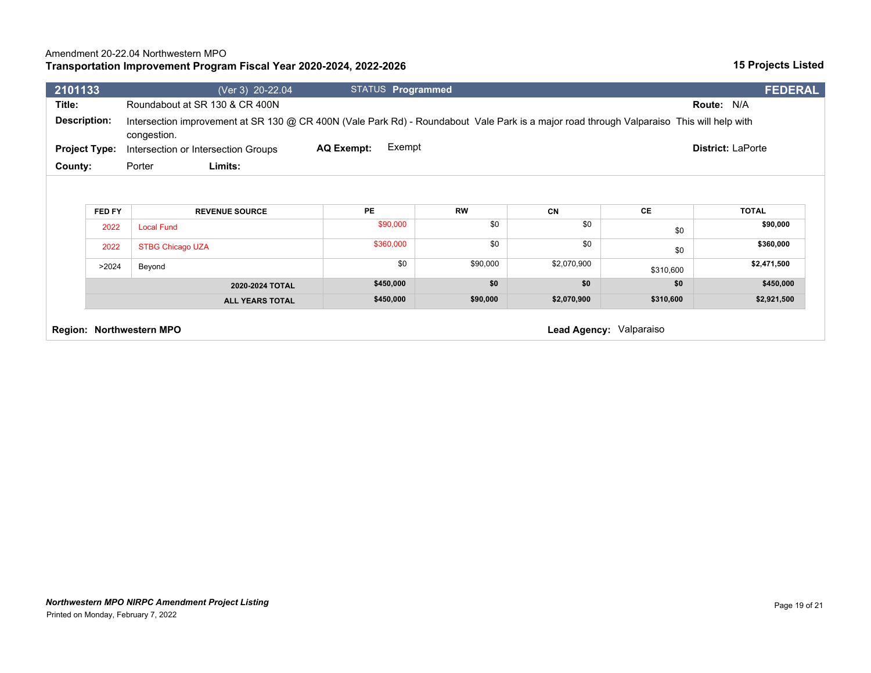### **Transportation Improvement Program Fiscal Year 2020-2024, 2022-2026**

| 2101133                                                                                                                                                                         | (Ver 3) 20-22.04                           | <b>STATUS Programmed</b>    |                  |                  |           | <b>FEDERAL</b>           |  |  |
|---------------------------------------------------------------------------------------------------------------------------------------------------------------------------------|--------------------------------------------|-----------------------------|------------------|------------------|-----------|--------------------------|--|--|
| Title:                                                                                                                                                                          | Roundabout at SR 130 & CR 400N             |                             |                  |                  |           | Route: N/A               |  |  |
| <b>Description:</b><br>Intersection improvement at SR 130 @ CR 400N (Vale Park Rd) - Roundabout Vale Park is a major road through Valparaiso This will help with<br>congestion. |                                            |                             |                  |                  |           |                          |  |  |
| <b>Project Type:</b>                                                                                                                                                            | Intersection or Intersection Groups        | Exempt<br><b>AQ Exempt:</b> |                  |                  |           | <b>District: LaPorte</b> |  |  |
| County:                                                                                                                                                                         | Limits:<br>Porter                          |                             |                  |                  |           |                          |  |  |
|                                                                                                                                                                                 |                                            |                             |                  |                  |           |                          |  |  |
|                                                                                                                                                                                 |                                            |                             |                  |                  |           |                          |  |  |
| FED FY<br>2022                                                                                                                                                                  | <b>REVENUE SOURCE</b><br><b>Local Fund</b> | <b>PE</b><br>\$90,000       | <b>RW</b><br>\$0 | <b>CN</b><br>\$0 | CE<br>\$0 | <b>TOTAL</b><br>\$90,000 |  |  |
| 2022                                                                                                                                                                            | <b>STBG Chicago UZA</b>                    | \$360,000                   | \$0              | \$0              | \$0       | \$360,000                |  |  |
| >2024                                                                                                                                                                           | Beyond                                     | \$0                         | \$90,000         | \$2,070,900      | \$310,600 | \$2,471,500              |  |  |
|                                                                                                                                                                                 | 2020-2024 TOTAL                            | \$450,000                   | \$0              | \$0              | \$0       | \$450,000                |  |  |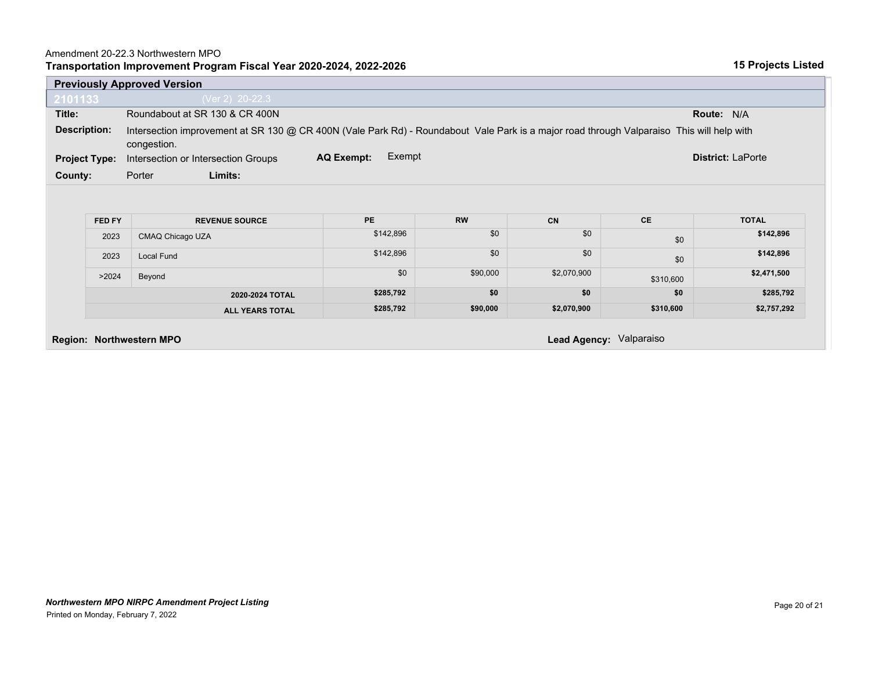| 2101133              |                | (Ver 2) 20-22.3                                                                                                                                          |                             |                  |                          |                  |                           |  |  |  |
|----------------------|----------------|----------------------------------------------------------------------------------------------------------------------------------------------------------|-----------------------------|------------------|--------------------------|------------------|---------------------------|--|--|--|
| Title:               |                | Roundabout at SR 130 & CR 400N                                                                                                                           |                             |                  |                          |                  | <b>Route: N/A</b>         |  |  |  |
| <b>Description:</b>  |                | Intersection improvement at SR 130 @ CR 400N (Vale Park Rd) - Roundabout Vale Park is a major road through Valparaiso This will help with<br>congestion. |                             |                  |                          |                  |                           |  |  |  |
| <b>Project Type:</b> |                | Intersection or Intersection Groups                                                                                                                      | Exempt<br><b>AQ Exempt:</b> |                  | <b>District: LaPorte</b> |                  |                           |  |  |  |
| County:              |                | Limits:<br>Porter                                                                                                                                        |                             |                  |                          |                  |                           |  |  |  |
|                      |                |                                                                                                                                                          |                             |                  |                          |                  |                           |  |  |  |
|                      | FED FY<br>2023 | <b>REVENUE SOURCE</b><br>CMAQ Chicago UZA                                                                                                                | <b>PE</b><br>\$142,896      | <b>RW</b><br>\$0 | <b>CN</b><br>\$0         | <b>CE</b><br>\$0 | <b>TOTAL</b><br>\$142,896 |  |  |  |
|                      | 2023           | Local Fund                                                                                                                                               | \$142,896                   | \$0              | \$0                      | \$0              | \$142,896                 |  |  |  |
|                      | >2024          | Beyond                                                                                                                                                   | \$0                         | \$90,000         | \$2,070,900              | \$310,600        | \$2,471,500               |  |  |  |
|                      |                | 2020-2024 TOTAL                                                                                                                                          | \$285,792                   | \$0              | \$0                      | \$0              | \$285,792                 |  |  |  |